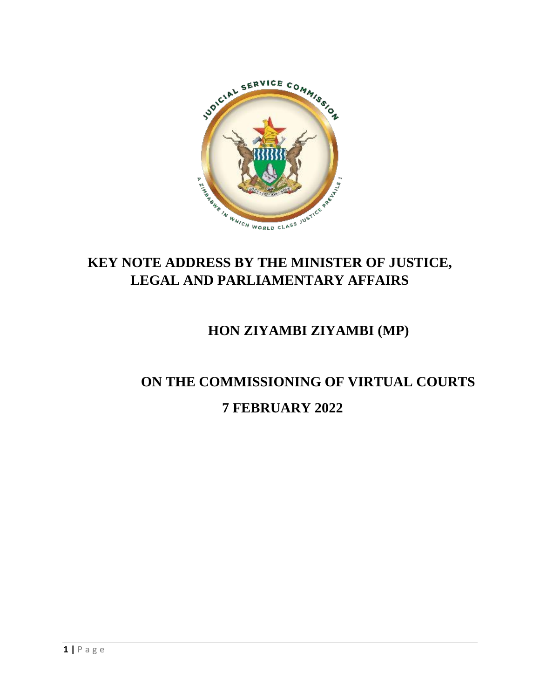

## **KEY NOTE ADDRESS BY THE MINISTER OF JUSTICE, LEGAL AND PARLIAMENTARY AFFAIRS**

## **HON ZIYAMBI ZIYAMBI (MP)**

## **ON THE COMMISSIONING OF VIRTUAL COURTS 7 FEBRUARY 2022**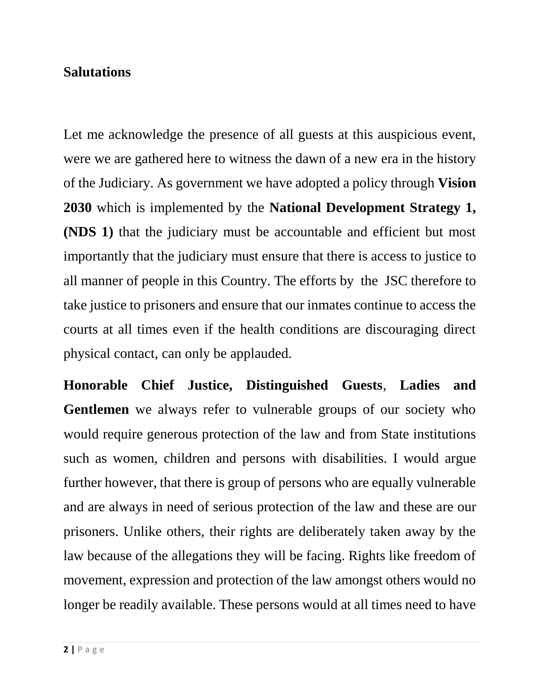## **Salutations**

Let me acknowledge the presence of all guests at this auspicious event, were we are gathered here to witness the dawn of a new era in the history of the Judiciary. As government we have adopted a policy through **Vision 2030** which is implemented by the **National Development Strategy 1, (NDS 1)** that the judiciary must be accountable and efficient but most importantly that the judiciary must ensure that there is access to justice to all manner of people in this Country. The efforts by the JSC therefore to take justice to prisoners and ensure that our inmates continue to access the courts at all times even if the health conditions are discouraging direct physical contact, can only be applauded.

**Honorable Chief Justice, Distinguished Guests**, **Ladies and Gentlemen** we always refer to vulnerable groups of our society who would require generous protection of the law and from State institutions such as women, children and persons with disabilities. I would argue further however, that there is group of persons who are equally vulnerable and are always in need of serious protection of the law and these are our prisoners. Unlike others, their rights are deliberately taken away by the law because of the allegations they will be facing. Rights like freedom of movement, expression and protection of the law amongst others would no longer be readily available. These persons would at all times need to have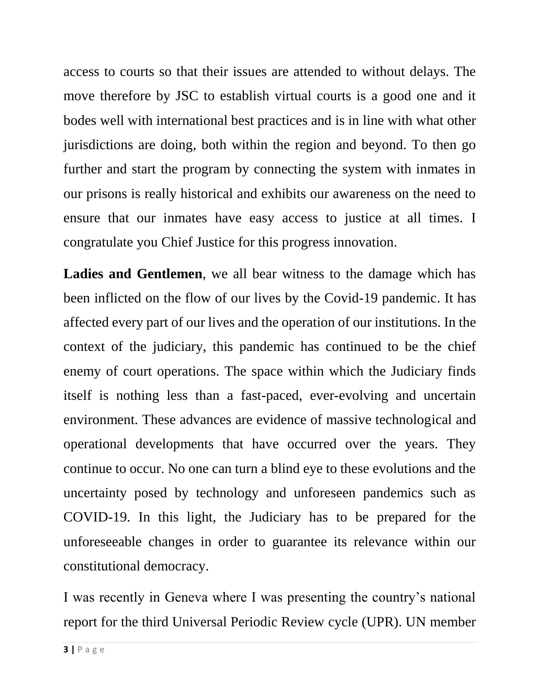access to courts so that their issues are attended to without delays. The move therefore by JSC to establish virtual courts is a good one and it bodes well with international best practices and is in line with what other jurisdictions are doing, both within the region and beyond. To then go further and start the program by connecting the system with inmates in our prisons is really historical and exhibits our awareness on the need to ensure that our inmates have easy access to justice at all times. I congratulate you Chief Justice for this progress innovation.

**Ladies and Gentlemen**, we all bear witness to the damage which has been inflicted on the flow of our lives by the Covid-19 pandemic. It has affected every part of our lives and the operation of our institutions. In the context of the judiciary, this pandemic has continued to be the chief enemy of court operations. The space within which the Judiciary finds itself is nothing less than a fast-paced, ever-evolving and uncertain environment. These advances are evidence of massive technological and operational developments that have occurred over the years. They continue to occur. No one can turn a blind eye to these evolutions and the uncertainty posed by technology and unforeseen pandemics such as COVID-19. In this light, the Judiciary has to be prepared for the unforeseeable changes in order to guarantee its relevance within our constitutional democracy.

I was recently in Geneva where I was presenting the country's national report for the third Universal Periodic Review cycle (UPR). UN member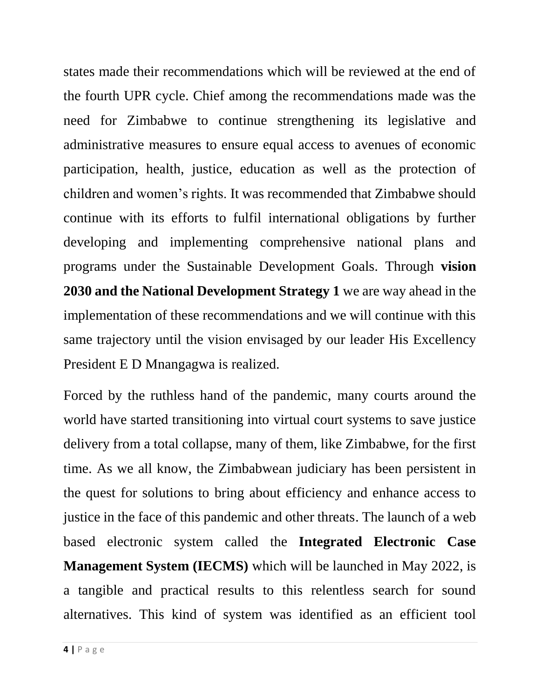states made their recommendations which will be reviewed at the end of the fourth UPR cycle. Chief among the recommendations made was the need for Zimbabwe to continue strengthening its legislative and administrative measures to ensure equal access to avenues of economic participation, health, justice, education as well as the protection of children and women's rights. It was recommended that Zimbabwe should continue with its efforts to fulfil international obligations by further developing and implementing comprehensive national plans and programs under the Sustainable Development Goals. Through **vision 2030 and the National Development Strategy 1** we are way ahead in the implementation of these recommendations and we will continue with this same trajectory until the vision envisaged by our leader His Excellency President E D Mnangagwa is realized.

Forced by the ruthless hand of the pandemic, many courts around the world have started transitioning into virtual court systems to save justice delivery from a total collapse, many of them, like Zimbabwe, for the first time. As we all know, the Zimbabwean judiciary has been persistent in the quest for solutions to bring about efficiency and enhance access to justice in the face of this pandemic and other threats. The launch of a web based electronic system called the **Integrated Electronic Case Management System (IECMS)** which will be launched in May 2022, is a tangible and practical results to this relentless search for sound alternatives. This kind of system was identified as an efficient tool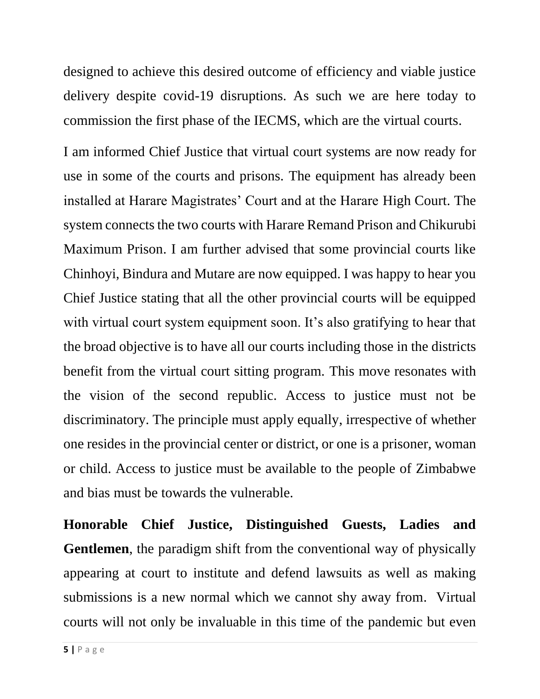designed to achieve this desired outcome of efficiency and viable justice delivery despite covid-19 disruptions. As such we are here today to commission the first phase of the IECMS, which are the virtual courts.

I am informed Chief Justice that virtual court systems are now ready for use in some of the courts and prisons. The equipment has already been installed at Harare Magistrates' Court and at the Harare High Court. The system connects the two courts with Harare Remand Prison and Chikurubi Maximum Prison. I am further advised that some provincial courts like Chinhoyi, Bindura and Mutare are now equipped. I was happy to hear you Chief Justice stating that all the other provincial courts will be equipped with virtual court system equipment soon. It's also gratifying to hear that the broad objective is to have all our courts including those in the districts benefit from the virtual court sitting program. This move resonates with the vision of the second republic. Access to justice must not be discriminatory. The principle must apply equally, irrespective of whether one resides in the provincial center or district, or one is a prisoner, woman or child. Access to justice must be available to the people of Zimbabwe and bias must be towards the vulnerable.

**Honorable Chief Justice, Distinguished Guests, Ladies and Gentlemen**, the paradigm shift from the conventional way of physically appearing at court to institute and defend lawsuits as well as making submissions is a new normal which we cannot shy away from. Virtual courts will not only be invaluable in this time of the pandemic but even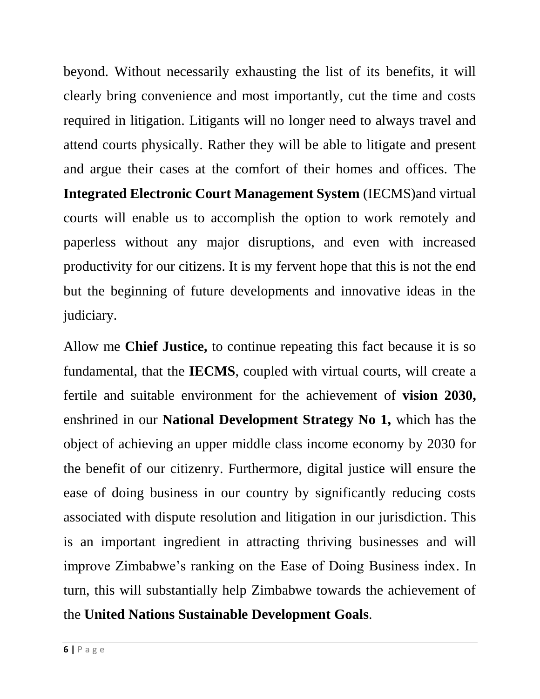beyond. Without necessarily exhausting the list of its benefits, it will clearly bring convenience and most importantly, cut the time and costs required in litigation. Litigants will no longer need to always travel and attend courts physically. Rather they will be able to litigate and present and argue their cases at the comfort of their homes and offices. The **Integrated Electronic Court Management System** (IECMS)and virtual courts will enable us to accomplish the option to work remotely and paperless without any major disruptions, and even with increased productivity for our citizens. It is my fervent hope that this is not the end but the beginning of future developments and innovative ideas in the judiciary.

Allow me **Chief Justice,** to continue repeating this fact because it is so fundamental, that the **IECMS**, coupled with virtual courts, will create a fertile and suitable environment for the achievement of **vision 2030,** enshrined in our **National Development Strategy No 1,** which has the object of achieving an upper middle class income economy by 2030 for the benefit of our citizenry. Furthermore, digital justice will ensure the ease of doing business in our country by significantly reducing costs associated with dispute resolution and litigation in our jurisdiction. This is an important ingredient in attracting thriving businesses and will improve Zimbabwe's ranking on the Ease of Doing Business index. In turn, this will substantially help Zimbabwe towards the achievement of the **United Nations Sustainable Development Goals**.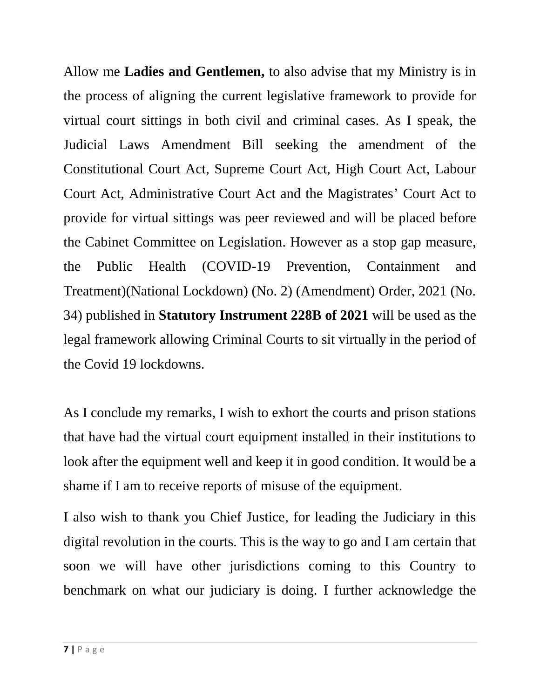Allow me **Ladies and Gentlemen,** to also advise that my Ministry is in the process of aligning the current legislative framework to provide for virtual court sittings in both civil and criminal cases. As I speak, the Judicial Laws Amendment Bill seeking the amendment of the Constitutional Court Act, Supreme Court Act, High Court Act, Labour Court Act, Administrative Court Act and the Magistrates' Court Act to provide for virtual sittings was peer reviewed and will be placed before the Cabinet Committee on Legislation. However as a stop gap measure, the Public Health (COVID-19 Prevention, Containment and Treatment)(National Lockdown) (No. 2) (Amendment) Order, 2021 (No. 34) published in **Statutory Instrument 228B of 2021** will be used as the legal framework allowing Criminal Courts to sit virtually in the period of the Covid 19 lockdowns.

As I conclude my remarks, I wish to exhort the courts and prison stations that have had the virtual court equipment installed in their institutions to look after the equipment well and keep it in good condition. It would be a shame if I am to receive reports of misuse of the equipment.

I also wish to thank you Chief Justice, for leading the Judiciary in this digital revolution in the courts. This is the way to go and I am certain that soon we will have other jurisdictions coming to this Country to benchmark on what our judiciary is doing. I further acknowledge the